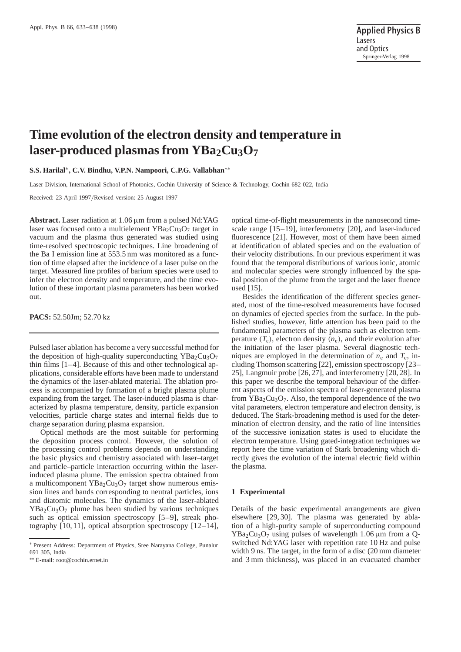# **Time evolution of the electron density and temperature in laser-produced plasmas from YBa<sub>2</sub>Cu<sub>3</sub>O<sub>7</sub>**

**S.S. Harilal**∗**, C.V. Bindhu, V.P.N. Nampoori, C.P.G. Vallabhan**∗∗

Laser Division, International School of Photonics, Cochin University of Science & Technology, Cochin 682 022, India

Received: 23 April 1997/Revised version: 25 August 1997

Abstract. Laser radiation at 1.06  $\mu$ m from a pulsed Nd:YAG laser was focused onto a multielement  $YBa<sub>2</sub>Cu<sub>3</sub>O<sub>7</sub>$  target in vacuum and the plasma thus generated was studied using time-resolved spectroscopic techniques. Line broadening of the Ba I emission line at 553.5 nm was monitored as a function of time elapsed after the incidence of a laser pulse on the target. Measured line profiles of barium species were used to infer the electron density and temperature, and the time evolution of these important plasma parameters has been worked out.

**PACS:** 52.50Jm; 52.70 kz

Pulsed laser ablation has become a very successful method for the deposition of high-quality superconducting  $YBa<sub>2</sub>Cu<sub>3</sub>O<sub>7</sub>$ thin films [1–4]. Because of this and other technological applications, considerable efforts have been made to understand the dynamics of the laser-ablated material. The ablation process is accompanied by formation of a bright plasma plume expanding from the target. The laser-induced plasma is characterized by plasma temperature, density, particle expansion velocities, particle charge states and internal fields due to charge separation during plasma expansion.

Optical methods are the most suitable for performing the deposition process control. However, the solution of the processing control problems depends on understanding the basic physics and chemistry associated with laser–target and particle–particle interaction occurring within the laserinduced plasma plume. The emission spectra obtained from a multicomponent  $YBa<sub>2</sub>Cu<sub>3</sub>O<sub>7</sub>$  target show numerous emission lines and bands corresponding to neutral particles, ions and diatomic molecules. The dynamics of the laser-ablated  $YBa<sub>2</sub>Cu<sub>3</sub>O<sub>7</sub>$  plume has been studied by various techniques such as optical emission spectroscopy [5–9], streak photography [10, 11], optical absorption spectroscopy [12–14],

optical time-of-flight measurements in the nanosecond timescale range [15–19], interferometry [20], and laser-induced fluorescence [21]. However, most of them have been aimed at identification of ablated species and on the evaluation of their velocity distributions. In our previous experiment it was found that the temporal distributions of various ionic, atomic and molecular species were strongly influenced by the spatial position of the plume from the target and the laser fluence used [15].

Besides the identification of the different species generated, most of the time-resolved measurements have focused on dynamics of ejected species from the surface. In the published studies, however, little attention has been paid to the fundamental parameters of the plasma such as electron temperature  $(T_e)$ , electron density  $(n_e)$ , and their evolution after the initiation of the laser plasma. Several diagnostic techniques are employed in the determination of  $n_e$  and  $T_e$ , including Thomson scattering [22], emission spectroscopy [23– 25], Langmuir probe [26, 27], and interferometry [20, 28]. In this paper we describe the temporal behaviour of the different aspects of the emission spectra of laser-generated plasma from  $YBa<sub>2</sub>Cu<sub>3</sub>O<sub>7</sub>$ . Also, the temporal dependence of the two vital parameters, electron temperature and electron density, is deduced. The Stark-broadening method is used for the determination of electron density, and the ratio of line intensities of the successive ionization states is used to elucidate the electron temperature. Using gated-integration techniques we report here the time variation of Stark broadening which directly gives the evolution of the internal electric field within the plasma.

## **1 Experimental**

Details of the basic experimental arrangements are given elsewhere [29, 30]. The plasma was generated by ablation of a high-purity sample of superconducting compound  $YBa<sub>2</sub>Cu<sub>3</sub>O<sub>7</sub>$  using pulses of wavelength 1.06  $\mu$ m from a Qswitched Nd:YAG laser with repetition rate 10 Hz and pulse width 9 ns. The target, in the form of a disc (20 mm diameter and 3 mm thickness), was placed in an evacuated chamber

<sup>∗</sup> Present Address: Department of Physics, Sree Narayana College, Punalur 691 305, India

<sup>∗∗</sup> E-mail: root@cochin.ernet.in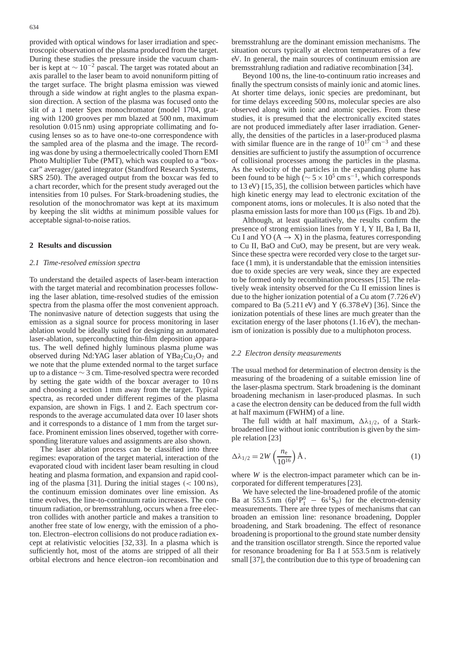provided with optical windows for laser irradiation and spectroscopic observation of the plasma produced from the target. During these studies the pressure inside the vacuum chamber is kept at  $\sim 10^{-2}$  pascal. The target was rotated about an axis parallel to the laser beam to avoid nonuniform pitting of the target surface. The bright plasma emission was viewed through a side window at right angles to the plasma expansion direction. A section of the plasma was focused onto the slit of a 1 meter Spex monochromator (model 1704, grating with 1200 grooves per mm blazed at 500 nm, maximum resolution 0.015 nm) using appropriate collimating and focusing lenses so as to have one-to-one correspondence with the sampled area of the plasma and the image. The recording was done by using a thermoelectrically cooled Thorn EMI Photo Multiplier Tube (PMT), which was coupled to a "boxcar" averager/gated integrator (Standford Research Systems, SRS 250). The averaged output from the boxcar was fed to a chart recorder, which for the present study averaged out the intensities from 10 pulses. For Stark-broadening studies, the resolution of the monochromator was kept at its maximum by keeping the slit widths at minimum possible values for acceptable signal-to-noise ratios.

# **2 Results and discussion**

## *2.1 Time-resolved emission spectra*

To understand the detailed aspects of laser-beam interaction with the target material and recombination processes following the laser ablation, time-resolved studies of the emission spectra from the plasma offer the most convenient approach. The noninvasive nature of detection suggests that using the emission as a signal source for process monitoring in laser ablation would be ideally suited for designing an automated laser-ablation, superconducting thin-film deposition apparatus. The well defined highly luminous plasma plume was observed during Nd:YAG laser ablation of  $YBa<sub>2</sub>Cu<sub>3</sub>O<sub>7</sub>$  and we note that the plume extended normal to the target surface up to a distance ∼ 3 cm. Time-resolved spectra were recorded by setting the gate width of the boxcar averager to 10 ns and choosing a section 1 mm away from the target. Typical spectra, as recorded under different regimes of the plasma expansion, are shown in Figs. 1 and 2. Each spectrum corresponds to the average accumulated data over 10 laser shots and it corresponds to a distance of 1 mm from the target surface. Prominent emission lines observed, together with corresponding literature values and assignments are also shown.

The laser ablation process can be classified into three regimes: evaporation of the target material, interaction of the evaporated cloud with incident laser beam resulting in cloud heating and plasma formation, and expansion and rapid cooling of the plasma [31]. During the initial stages  $\left($  < 100 ns), the continuum emission dominates over line emission. As time evolves, the line-to-continuum ratio increases. The continuum radiation, or bremsstrahlung, occurs when a free electron collides with another particle and makes a transition to another free state of low energy, with the emission of a photon. Electron–electron collisions do not produce radiation except at relativistic velocities [32, 33]. In a plasma which is sufficiently hot, most of the atoms are stripped of all their orbital electrons and hence electron–ion recombination and

bremsstrahlung are the dominant emission mechanisms. The situation occurs typically at electron temperatures of a few eV. In general, the main sources of continuum emission are bremsstrahlung radiation and radiative recombination [34].

Beyond 100 ns, the line-to-continuum ratio increases and finally the spectrum consists of mainly ionic and atomic lines. At shorter time delays, ionic species are predominant, but for time delays exceeding 500 ns, molecular species are also observed along with ionic and atomic species. From these studies, it is presumed that the electronically excited states are not produced immediately after laser irradiation. Generally, the densities of the particles in a laser-produced plasma with similar fluence are in the range of  $10^{17}$  cm<sup>-3</sup> and these densities are sufficient to justify the assumption of occurrence of collisional processes among the particles in the plasma. As the velocity of the particles in the expanding plume has been found to be high ( $\sim$  5 × 10<sup>5</sup> cm s<sup>-1</sup>, which corresponds to 13 eV) [15, 35], the collision between particles which have high kinetic energy may lead to electronic excitation of the component atoms, ions or molecules. It is also noted that the plasma emission lasts for more than 100 µs (Figs. 1b and 2b).

Although, at least qualitatively, the results confirm the presence of strong emission lines from Y I, Y II, Ba I, Ba II, Cu I and YO  $(A \rightarrow X)$  in the plasma, features corresponding to Cu II, BaO and CuO, may be present, but are very weak. Since these spectra were recorded very close to the target surface (1 mm), it is understandable that the emission intensities due to oxide species are very weak, since they are expected to be formed only by recombination processes [15]. The relatively weak intensity observed for the Cu II emission lines is due to the higher ionization potential of a Cu atom (7.726 eV) compared to Ba  $(5.211 \text{ eV})$  and Y  $(6.378 \text{ eV})$  [36]. Since the ionization potentials of these lines are much greater than the excitation energy of the laser photons  $(1.16 \text{ eV})$ , the mechanism of ionization is possibly due to a multiphoton process.

## *2.2 Electron density measurements*

The usual method for determination of electron density is the measuring of the broadening of a suitable emission line of the laser-plasma spectrum. Stark broadening is the dominant broadening mechanism in laser-produced plasmas. In such a case the electron density can be deduced from the full width at half maximum (FWHM) of a line.

The full width at half maximum,  $\Delta \lambda_{1/2}$ , of a Starkbroadened line without ionic contribution is given by the simple relation [23]

$$
\Delta\lambda_{1/2} = 2W\left(\frac{n_{\rm e}}{10^{16}}\right)\text{\AA},\tag{1}
$$

where *W* is the electron-impact parameter which can be incorporated for different temperatures [23].

We have selected the line-broadened profile of the atomic Ba at 553.5 nm  $(6p^1P_1^0 - 6s^1S_0)$  for the electron-density measurements. There are three types of mechanisms that can broaden an emission line: resonance broadening, Doppler broadening, and Stark broadening. The effect of resonance broadening is proportional to the ground state number density and the transition oscillator strength. Since the reported value for resonance broadening for Ba I at 553.5 nm is relatively small [37], the contribution due to this type of broadening can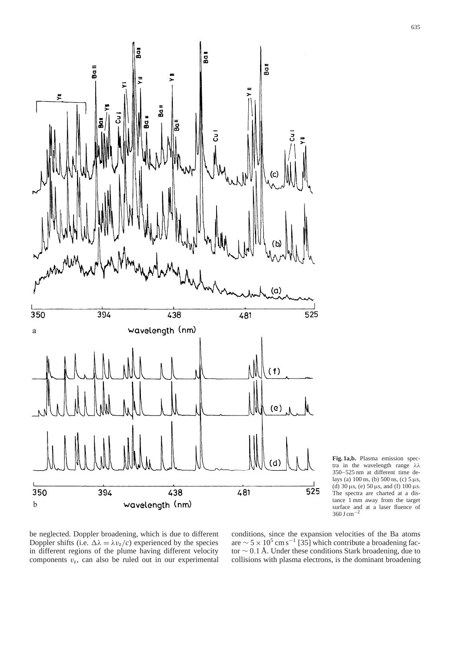

**Fig. 1a,b.** Plasma emission spectra in the wavelength range λλ 350–525 nm at different time delays (a) 100 ns, (b) 500 ns, (c) 5 µs, (d)  $30 \mu s$ , (e)  $50 \mu s$ , and (f)  $100 \mu s$ .<br>The spectra are charted at a dis-The spectra are charted at a distance 1 mm away from the target surface and at a laser fluence of  $360 \text{ J cm}^{-2}$ 

be neglected. Doppler broadening, which is due to different Doppler shifts (i.e.  $\Delta \lambda = \lambda v_z/c$ ) experienced by the species in different regions of the plume having different velocity components  $v_z$ , can also be ruled out in our experimental

conditions, since the expansion velocities of the Ba atoms are  $\sim$  5 × 10<sup>5</sup> cm s<sup>-1</sup> [35] which contribute a broadening factor ∼ 0.1 Å. Under these conditions Stark broadening, due to collisions with plasma electrons, is the dominant broadening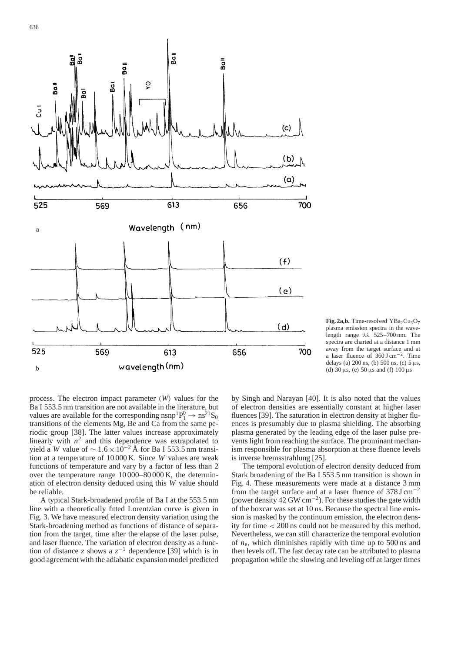

Fig. 2a,b. Time-resolved YBa<sub>2</sub>Cu<sub>3</sub>O<sub>7</sub> plasma emission spectra in the wavelength range  $\lambda \lambda$  525–700 nm. The spectra are charted at a distance 1 mm away from the target surface and at a laser fluence of 360 J cm−2. Time delays (a)  $200 \text{ ns}$ , (b)  $500 \text{ ns}$ , (c)  $5 \mu s$ , (d)  $30 \,\mu s$ , (e)  $50 \,\mu s$  and (f)  $100 \,\mu s$ 

process. The electron impact parameter (*W*) values for the Ba I 553.5 nm transition are not available in the literature, but values are available for the corresponding  $n \text{snp}^1 \text{P}_1^0 \rightarrow n \text{s}^2 \text{S}_0$ transitions of the elements Mg, Be and Ca from the same periodic group [38]. The latter values increase approximately linearly with  $n^2$  and this dependence was extrapolated to yield a *W* value of  $\sim 1.6 \times 10^{-2}$  Å for Ba I 553.5 nm transition at a temperature of 10 000 K. Since *W* values are weak functions of temperature and vary by a factor of less than 2 over the temperature range 10 000–80 000 K, the determination of electron density deduced using this *W* value should be reliable.

A typical Stark-broadened profile of Ba I at the 553.5 nm line with a theoretically fitted Lorentzian curve is given in Fig. 3. We have measured electron density variation using the Stark-broadening method as functions of distance of separation from the target, time after the elapse of the laser pulse, and laser fluence. The variation of electron density as a function of distance *z* shows a  $z^{-1}$  dependence [39] which is in good agreement with the adiabatic expansion model predicted by Singh and Narayan [40]. It is also noted that the values of electron densities are essentially constant at higher laser fluences [39]. The saturation in electron density at higher fluences is presumably due to plasma shielding. The absorbing plasma generated by the leading edge of the laser pulse prevents light from reaching the surface. The prominant mechanism responsible for plasma absorption at these fluence levels is inverse bremsstrahlung [25].

The temporal evolution of electron density deduced from Stark broadening of the Ba I 553.5 nm transition is shown in Fig. 4. These measurements were made at a distance 3 mm from the target surface and at a laser fluence of  $378 \text{ J cm}^{-2}$ (power density 42 GW cm<sup>-2</sup>). For these studies the gate width of the boxcar was set at 10 ns. Because the spectral line emission is masked by the continuum emission, the electron density for time < 200 ns could not be measured by this method. Nevertheless, we can still characterize the temporal evolution of *n*e, which diminishes rapidly with time up to 500 ns and then levels off. The fast decay rate can be attributed to plasma propagation while the slowing and leveling off at larger times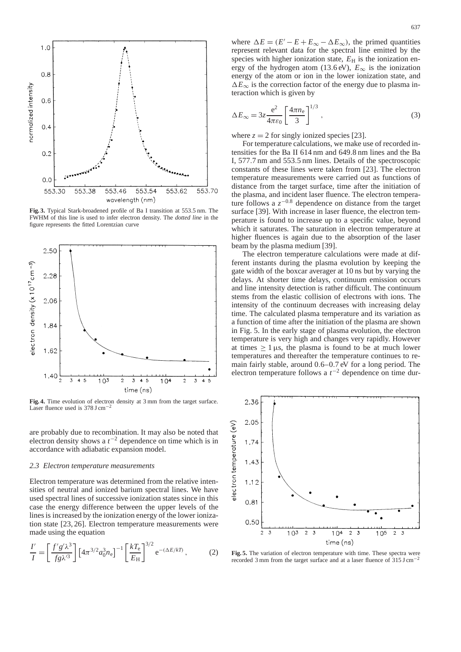

**Fig. 3.** Typical Stark-broadened profile of Ba I transition at 553.5 nm. The FWHM of this line is used to infer electron density. The *dotted line* in the figure represents the fitted Lorentzian curve



**Fig. 4.** Time evolution of electron density at 3 mm from the target surface. Laser fluence used is 378 J cm−<sup>2</sup>

are probably due to recombination. It may also be noted that electron density shows a  $t^{-2}$  dependence on time which is in accordance with adiabatic expansion model.

### *2.3 Electron temperature measurements*

Electron temperature was determined from the relative intensities of neutral and ionized barium spectral lines. We have used spectral lines of successive ionization states since in this case the energy difference between the upper levels of the lines is increased by the ionization energy of the lower ionization state [23, 26]. Electron temperature measurements were made using the equation

$$
\frac{I'}{I} = \left[\frac{f'g'\lambda^3}{fg\lambda'^3}\right] \left[4\pi^{3/2}a_0^3n_e\right]^{-1} \left[\frac{kT_e}{E_H}\right]^{3/2} e^{-(\Delta E/kT)},\tag{2}
$$

where  $\Delta E = (E' - E + E_{\infty} - \Delta E_{\infty})$ , the primed quantities represent relevant data for the spectral line emitted by the species with higher ionization state,  $E<sub>H</sub>$  is the ionization energy of the hydrogen atom (13.6 eV),  $E_{\infty}$  is the ionization energy of the atom or ion in the lower ionization state, and  $\Delta E_{\infty}$  is the correction factor of the energy due to plasma interaction which is given by

$$
\Delta E_{\infty} = 3z \frac{e^2}{4\pi\varepsilon_0} \left[ \frac{4\pi n_e}{3} \right]^{1/3},\tag{3}
$$

where  $z = 2$  for singly ionized species [23].

For temperature calculations, we make use of recorded intensities for the Ba II 614 nm and 649.8 nm lines and the Ba I, 577.7 nm and 553.5 nm lines. Details of the spectroscopic constants of these lines were taken from [23]. The electron temperature measurements were carried out as functions of distance from the target surface, time after the initiation of the plasma, and incident laser fluence. The electron temperature follows a  $z^{-0.8}$  dependence on distance from the target surface [39]. With increase in laser fluence, the electron temperature is found to increase up to a specific value, beyond which it saturates. The saturation in electron temperature at higher fluences is again due to the absorption of the laser beam by the plasma medium [39].

The electron temperature calculations were made at different instants during the plasma evolution by keeping the gate width of the boxcar averager at 10 ns but by varying the delays. At shorter time delays, continuum emission occurs and line intensity detection is rather difficult. The continuum stems from the elastic collision of electrons with ions. The intensity of the continuum decreases with increasing delay time. The calculated plasma temperature and its variation as a function of time after the initiation of the plasma are shown in Fig. 5. In the early stage of plasma evolution, the electron temperature is very high and changes very rapidly. However at times  $\geq 1 \,\mu s$ , the plasma is found to be at much lower temperatures and thereafter the temperature continues to remain fairly stable, around 0.6–0.7 eV for a long period. The electron temperature follows a  $t^{-2}$  dependence on time dur-



**Fig. 5.** The variation of electron temperature with time. These spectra were recorded 3 mm from the target surface and at a laser fluence of 315 J cm<sup>−</sup>